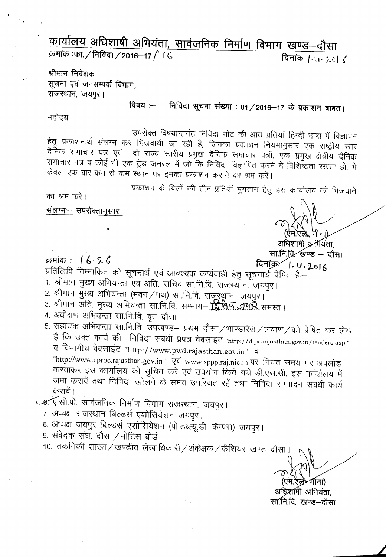कार्यालय अधिशाषी अभियंता, सार्वजनिक निर्माण विभाग खण्ड–दौसा क्रमांक :फा. / निविदा / 2016–17 / । ६

दिनांक / 4 20 6

श्रीमान निदेशक सूचना एवं जनसम्पर्क विभाग. राजस्थान, जयपुर।

> विषय :— निविदा सूचना संख्या : 01/2016-17 के प्रकाशन बाबत।

महोदय,

उपरोक्त विषयान्तर्गत निविदा नोट की आठ प्रतियॉ हिन्दी भाषा में विज्ञापन हेतु प्रकाशनार्थ संलग्न कर भिजवायी जा रही है, जिनका प्रकाशन नियमानुसार एक राष्ट्रीय स्तर दैनिक समाचार पत्र एवं ) दो राज्य स्तरीय प्रमुख दैनिक समाचार पत्रों, एक प्रमुख क्षेत्रीय दैनिक समाचार पत्र व कोई भी एक ट्रेड जनरल में जो कि निविदा विज्ञापित करने में विशिष्टता रखता हो, में केवल एक बार कम से कम स्थान पर इनका प्रकाशन कराने का श्रम करें।

प्रकाशन के बिलों की तीन प्रतियाँ भुगतान हेतु इस कार्यालय को भिजवाने

का श्रम करें।

<u>संलग्नः– उपरोक्तानु</u>सार।

क्रमांक: 16-26

अधिशाषी अर्भियंता. सा.नि.व्रि. खण्ड – दौसा

दिनांक- 1.4.2016

प्रतिलिपि निम्नांकित को सूचनार्थ एवं आवश्यक कार्यवाही हेतु सूचनार्थ प्रेषित है:--

1. श्रीमान मुख्य अभियन्ता एवं अति. सचिव सा.नि.वि. राजस्थान, जयपुर।

2. श्रीमान मुख्य अभियन्ता (भवन ⁄ पथ) सा.नि.वि. राजूरथ्रान, जयपुर।

3. श्रीमान अति. मुख्य अभियन्ता सा.नि.वि. सम्भाग– स्रोतिम् अश्फ्रॅ समरत।

- 4. अधीक्षण अभियन्ता सा.नि.वि. वृत दौसा।
- 5. सहायक अभियन्ता सा.नि.वि. उपखण्ड– प्रथम दौसा/भाण्डारेज/लवाण/को प्रेषित कर लेख है कि उक्त कार्य की निविदा संबंधी प्रपत्र वेबसाईट "http://dipr.rajasthan.gov.in/tenders.asp " व विभागीय वेबसाईट "http://www.pwd.rajasthan.gov.in" व "http://www.eproc.rajasthan.gov.in " एवं www.sppp.raj.nic.in पर नियत समय पर अपलोड करवाकर इस कार्यालय को सुचित करें एवं उपयोग किये गये डी.एस.सी. इस कार्यालय में जमा करावें तथा निविदा खोलने के समय उपस्थित रहें तथा निविदा सम्पादन संबंधी कार्य करावें।

७. ए.सी.पी. सार्वजनिक निर्माण विभाग राजस्थान, जयपुर।

- 7. अध्यक्ष राजस्थान बिल्डर्स एशोसियेशन जयपुर।
- 8. अध्यक्ष जयपुर बिल्डर्स एशोसियेशन (पी.डब्ल्यू.डी. कैम्पस) जयपुर।
- 9. संवेदक संघ, दौसा/नोटिस बोर्ड।
- 10. तकनिकी शाखा / खण्डीय लेखाधिकारी / अंकेक्षक / कैशियर खण्ड दौसा।

ना)

अधिशाषी अभियंता. सा.नि.वि. खण्ड–दौसा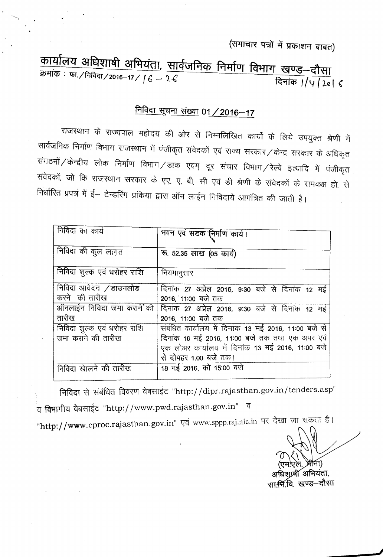(समाचार पत्रों में प्रकाशन बाबत)

<u>कीर्यालय अधिशाषी अभियंता, सा</u>र्वजनिक निर्माण विभाग खणूड—दौस्म m :Q)f·/~/2016-17 / *<sup>f</sup>* <sup>b</sup> - l-C ~'ijCfj *<sup>I</sup>* /'1/2-a' {

## <u>निविदा सूचना संख्या 01 / 2016-17</u>

राजस्थान के राज्यपाल महोदय की ओर से निम्नलिखित कार्यो के लिये उपयुक्त श्रेणी में सार्वजनिक निर्माण विभाग राजस्थान में पंजीकृत संवेदकों एवं राज्य सरकार ⁄ केन्द्र सरकार के अधिकृत c '{i~ld;:h/~'i{)<:f c>l)cp ~ ~/~ ~ ~ xt-crR ~/~ ~\<:fIR +f qlJj"lCf)fI .<br>संवेदकों, जो कि राजस्थान सरकार के एए, ए, बी, सी एवं डी श्रेणी के संवेदकों के समकक्ष हो से <u>निर्धारित प्रपत्र में ई</u>— टेन्डरिंग प्रकिया द्वारा ऑन लाईन निविदाये आमंत्रित की जाती है।

| निविदा का कार्य             | भवन एवं सडक निर्माण कार्य।                           |  |  |  |
|-----------------------------|------------------------------------------------------|--|--|--|
| निविदा की कुल लागत          | रू. 52.35 लाख (05 कार्य)                             |  |  |  |
| निविदा शुल्क एवं धरोहर राशि | नियमानुसार                                           |  |  |  |
| निविदा आवेदन /डाउनलोड       | दिनांक 27 अप्रेल 2016, 9:30 बजे से दिनांक 12 मई      |  |  |  |
| करने की तारीख               | 2016, 11:00 बजे तक                                   |  |  |  |
| ऑनलाईन निविदा जमा कराने की  | दिनांक 27 अप्रेल 2016, 9:30 बजे से दिनांक 12 मई      |  |  |  |
| तारीख                       | 2016, 11:00 बजे तक                                   |  |  |  |
| निविदा शुल्क एवं धरोहर राशि | संबंधित कार्यालय में दिनांक 13 मई 2016, 11:00 बजे से |  |  |  |
| जमा कराने की तारीख          | दिनांक 16 मई 2016, 11:00 बजे तक तथा एक अपर एवं       |  |  |  |
|                             | एक लोअर कार्यालय में दिनांक 13 मई 2016, 11:00 बजे    |  |  |  |
|                             | से दोपहर 1.00 बजे तक।                                |  |  |  |
| निविदा खेलिने की तारीख      | 18 मई 2016, को 15:00 बजे                             |  |  |  |

निविदा से संबंधित विवरण वेबसाईट "http://dipr.rajasthan.gov.in/tenders.asp"

व विभागीय वेबसाईट "http://www.pwd.rajasthan.gov.in" व

"http://www.eproc.rajasthan.gov.in" एवं www.sppp.raj.nic.in पर देखा जा सकता है।

अधिशाल्ली अभियंता,

सा:सि.वि. खण्ड—दौसा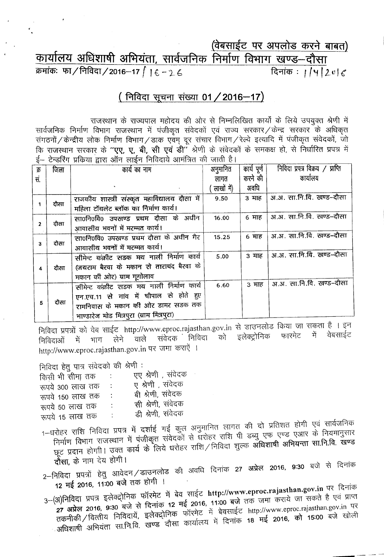## (वेबसाईट पर अपलोड करने बाबत) कार्यालय अधिशाषी अभियंता, सार्वजनिक निर्माण विभाग खण्ड-दौसा क्रमांकः फा/निविदा/2016-17 | |  $6 - 26$ दिनांकः ।/५/2*e*/ $\epsilon$

## (निविदा सूचना संख्या 01 / 2016-17)

राजस्थान के राज्यपाल महोदय की ओर से निम्नलिखित कार्यों के लिये उपयुक्त श्रेणी में सार्वजनिक निर्माण विभाग राजस्थान में पंजीकृत संवेदकों एवं राज्य सरकार / केन्द्र सरकार के अधिकृत संगठनों / केन्द्रीय लोक निर्माण विभाग / डाक एवम् दूर संचार विभाग / रेल्वे इत्यादि में पंजीकृत संवेदकों, जो कि राजस्थान सरकार के "**एए, ए, बी, सी एवं डी**" श्रेणी के संवेदकों के समकक्ष हो, से निर्धारित प्रपत्र में ई– टेन्डरिंग प्रकिया द्वारा ऑन लाईन निविदाये आमंत्रित की जाती है।

| क्र            | जिला | कार्य का नाम                                 | अनुमानित   | कार्य पूर्ण | निविदा प्रपत्र विक्रय / प्राप्ति |
|----------------|------|----------------------------------------------|------------|-------------|----------------------------------|
| सं.            |      |                                              | लागत       | करने की     | कार्यालय                         |
|                |      |                                              | लाखों में) | अवधि        |                                  |
| दौसा<br>1      |      | राजकीय शास्त्री संस्कृत महाविद्यालय दौसा में | 9.50       | 3 माह       | अ.अ. सा.नि.वि. खण्ड-दौसा         |
|                |      | महिला टॉयलेट ब्लॉक का निर्माण कार्य।         |            |             |                                  |
|                |      | सा0नि0वि0 उपखण्ड प्रथम दौसा के अधीन          | 16.00      | 6 माह       | अ.अ. सा.नि.वि. खण्ड–दौसा         |
| $\overline{2}$ | दौसा | आवासीय भवनों में मरम्मत कार्य।               |            |             |                                  |
| 3              | दौसा | सा0नि0वि0 उपखण्ड प्रथम दौसा के अधीन गैर      | 15.25      | 6 माह       | अ.अ. सा.नि.वि. खण्ड-दौसा         |
|                |      | आवासीय भवनों में मरम्मत कार्य।               |            |             |                                  |
|                |      | सीमेन्ट कंक्रीट सडक मय नाली निर्माण कार्य    | 5.00       | 3 माह       | अ.अ. सा.नि.वि. खण्ड-दौसा         |
| 4              | दौसा | (जयराम बैरवा के मकान से ताराचंद बैरवा के     |            |             |                                  |
|                |      | मकान की ओर) ग्राम गूगोलाव                    |            |             |                                  |
|                |      | सीमेन्ट कंक्रीट सडक मय नाली निर्माण कार्य    | 6.60       | ३ माह       | अ.अ. सा.नि.वि. खण्ड-दौसा         |
|                |      | एन.एच.11 से गांव में चौपाल से होते हुए       |            |             |                                  |
| 5              | दौसा | रामनिवास के मकान की ओर डामर सड़क तक          |            |             |                                  |
|                |      | भाण्डारेज मोड मित्रपुरा (ग्राम मित्रपुरा)    |            |             |                                  |

निविदा प्रपत्रों को वेब साईट http://www.eproc.rajasthan.gov.in से डाउनलोड किया जा सकता है । इन को इलेक्ट्रोनिक फारमेट में वेबसाईट संवेदक निविदा भाग लेने वाले ों में निविदाओं http://www.eproc.rajasthan.gov.in पर जमा कराऐं ।

न्नितिहा हेत पात्र संवेदको की श्रेणी :

| एए श्रेणी , संवेदक                             |
|------------------------------------------------|
| ए श्रेणी , संवेदक                              |
| बी श्रेणी, संवेदक<br>÷                         |
| सी श्रेणी, संवेदक<br>$\ddot{\cdot}$            |
| डी श्रेणी, संवेदक<br>$\mathbb{R}^{\mathbb{Z}}$ |
|                                                |

- 1–धरोहर राशि निविदा प्रपत्र में दर्शाई गई कुल अनुमानित लागत की दो प्रतिशत होगी एवं सार्वजनिक निर्माण विभाग राजस्थान में पंजीकृत संवेदकों से धरोहर राशि पी डब्यु एफ एण्ड एआर के नियमानुसार प्रदान होगी। उक्त कार्य के लिये धरोहर राशि निविदा शुल्क **अधिशाषी अभियन्ता सा.नि.वि. खण्ड** दौसा, के नाम देय होगी।
- 2–निविदा प्रपत्रों हेतु आवेदन/डाउनलोड की अवधि दिनांक 27 अप्रेल 2016, 9:30 बजे से दिनांक 12 मई 2016, 11:00 बजे तक होगी ।
- 3-(अ)निविदा प्रपत्र इलेक्ट्रोनिक फॉरमेट में बेव साईट http://www.eproc.rajasthan.gov.in पर दिनांक - 7 अप्रेल 2016, 9:30 बजे से दिनांक 12 मई 2016, 11:00 बजे तक जमा कराये जा सकते है एवं प्राप्त अधिशाषी अभियंता सा.नि.वि. खण्ड दौसा कार्यालय में दिनांक 18 मई 2016, को 15:00 बजे खोली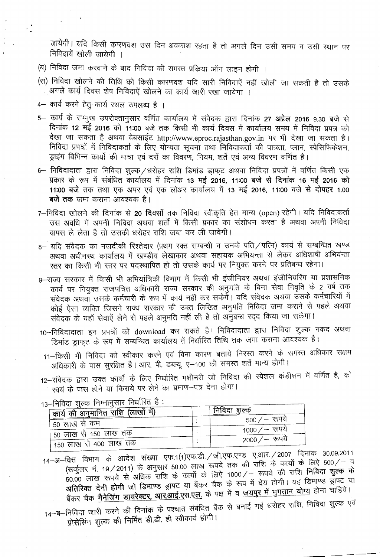जायेगी। यदि किसी कारणवश उस दिन अवकाश रहता है तो अगले दिन उसी समय व उसी स्थान पर निविदायें खोली जायेगी ।

- (ब) निविदा जमा करवाने के बाद निविदा की समस्त प्रक्रिया ऑन लाइन होगी ।
- (स) निविदा खोलने की तिथि को किसी कारणवश यदि सारी निविदाऐं नहीं खोली जा सकती है तो उसके आगले कार्य दिवस शेष निविदाऐं खोलने का कार्य जारी रखा जायेगा ।
- 4– कार्य करने हेत् कार्य स्थल उपलब्ध है ।
- 5- कार्य के सम्मुख उपरोक्तानुसार वर्णित कार्यालय में संवेदक द्वारा दिनांक 27 अप्रेल 2016 9.30 बजे से दिनांक 12 मई 2016 को 11:00 बजे तक किसी भी कार्य दिवस में कार्यालय समय में निविदा प्रपत्र को देखा जा सकता है अथवा वेबसाईट http://www.eproc.rajasthan.gov.in पर भी देखा जा सकता है। निविदा प्रपत्रों में निविदाकर्ता के लिए योग्यता सूचना तथा निविदाकर्ता की पात्रता, प्लान, स्पेसिफिकेशन, ङ्राइंग विभिन्न कार्यो की मात्रा एवं दरों का विवरण, नियम, शर्ते एवं अन्य विवरण वर्णित है।
- 6- निविदादाता द्वारा निविदा शुल्क /धरोहर राशि डिमांड ड्राफुट अथवा निविदा प्रपत्रों में वर्णित किसी एक प्रकार के रूप में संबंधित कार्यालय में दिनांक 13 मई 2016, 11:00 बजे से दिनांक 16 मई 2016 को 11:00 बजे तक तथा एक अपर एवं एक लोअर कार्यालय में 13 मई 2016, 11:00 बजे से दोपहर 1.00 **बजे तक** जमा कराना आवश्यक है।
- 7-निविदा खोलने की दिनांक से 20 दिवसों तक निविदा स्वीकृति हेत मान्य (open) रहेगी। यदि निविदाकर्ता उस अवधि में अपनी निविदा अथवा शर्तो में किसी प्रकार का संशोधन करता है अथवा अपनी निविदा वापस ले लेता है तो उसकी धरोहर राशि जब्त कर ली जावेगी।
- 8- यदि संवेदक का नजदीकी रिश्तेदार (प्रथम रक्त सम्बन्धी व उनके पति / पत्नि) कार्य से सम्बन्धित खण्ड अथवा अधीनस्थ कार्यालय में खण्डीय लेखाकार अथवा सहायक अभियन्ता से लेकर अधिशाषी अभियन्ता स्तर का किसी भी स्तर पर पदस्थापित हो तो उसके कार्य पर नियुक्त करने पर प्रतिबन्ध रहेगा।
- 9--राज्य सरकार में किसी भी अभियांत्रिकी विभाग में किसी भी इंजीनियर अथवा इंजीनियरिंग या प्रशासनिक कार्य पर नियुक्त राजपत्रित अधिकारी राज्य सरकार की अनुमति के बिना सेवा निवृति के 2 वर्ष तक .<br>संवेदक अथवाँ उसके कर्मचारी के रूप में कार्य नहीं कर सकेगेँ। यदि संवेदक अथवा उसके कर्मचारियों में कोई ऐसा व्यक्ति जिसने राज्य सरकार की उक्त लिखित अनुमति निविदा जमा कराने से पहले अथवा संवेदक के यहाँ सेवाऐं लेने से पहले अनुमति नहीं ली है तो अनुबन्ध रद्द किया जा सकेगा।
- 10-निविदादाता इन प्रपत्रों को download कर सकते है। निविदादाता द्वारा निविदा शुल्क नकद अथवा हिमांड ड्राफ्**ट के रूप में सम्बन्धित कार्यालय में नि**र्धारित तिथि तक जमा कराना आवश्यक है।
- 11-किसी भी निविदा को स्वीकार करने एवं बिना कारण बताये निरस्त करने के समस्त अधिकार सक्षम अधिकारी के पास सुरक्षित है। आर. पी. डब्ल्यू. ए--100 की समस्त शर्ते मान्य होगी।
- 12-संवेदक द्वारा उक्त कार्यो के लिए निर्धारित मशीनरी जो निविदा की स्पेशल कंडीशन में वर्णित है, को  $\sim$ स्वयं के पास होने या किराये पर लेने का प्रमाण—पत्र देना होगा।

| א וואן דערווידו זוראך וואפן די דער די דער די דער די דער די דער די די דער די די דער די די די די די די די די די $\frac{1}{2}$<br>कार्य की अनुमानित राशि (लाखों में) | निविदा शुल्क    |
|-------------------------------------------------------------------------------------------------------------------------------------------------------------------|-----------------|
| । 50 लाख से कम                                                                                                                                                    | 500 / — रूपये   |
| ' 50 लाख से 150 लाख तक                                                                                                                                            | 1000 ⁄ —  रूपये |
| ै 150 लाख से 400 लाख तक                                                                                                                                           | 2000 ⁄ —  रूपये |

- 13-निविदा शल्क निम्नानसार निर्धारित है :
- 14–अ–वित्त विभाग के आदेश संख्या एफ.1(1)एफ.डी. / जी.एफ.एण्ड ए.आर. / 2007 दिनांक 30.09.2011 वित्त विभाग के आदेश संख्या एफ.1(1)एफ.डा. / जा.एफ.ए॰ड ९.आ९. / 2007 में मैं ग्रेग ग्रेग<br>(सर्कुलर नं. 19 / 2011) के अनुसार 50.00 लाख रूपये तक की राशि के कार्यों के लिऐ 500 / – व<br>सर्कुलर नं. 19 / 2011) के अनुसार 50.00 लाख रूप (सर्कुलर नं. 19/2011) के अनुसार 50.00 लाख रूपय तक का राशि के कार्यों के लिए उनके साथ हैं।<br>50.00 लाख रूपये से अधिक राशि के कार्यों के लिए 1000/– रूपये की राशि **निविदा शुल्क के**<br>साथ से कार्यों के कार्यों के साथ साथ से कार्य 50.00 लाख रूपये से अधिक राशि के कीया के लिए 10007 – रास्त पैरी सांस मार्ग में हैं।<br>अतिरिक्त देनी होगी जो डिमाण्ड ड्राफ्ट या बैंकर चैक के रूप में देय होगी। यह डिमाण्ड ड्राफ्ट या<br>अतिरिक्त देनी होगी जो डिमाण्ड ड्राफ्ट या बैं अतिरिक्त देनी होगी जो डिमाण्ड ड्राफ्ट या बैकर चैक के रूप में देश होगा। यह डिमान्ड क्रम्ड हैं।<br>बैंकर चैक <u>मैनेजिंग डायरेक्टर, आर.आई.एस.एल.</u> के पक्ष में व <u>जयपुर में भुगतान योग्य</u> होना चाहिये।<br>सैंकर चैक <u>मैनेजिंग डायरेक्टर,</u>
- ्यकर चक <u>मनाजंग डायरपटर, जोराजार, साइन्स</u><br>14-ब-निविदा जारी करने की दिनांक के पश्चात संबंधित बैंक से बनाई गई धरोहर राशि, निविदा शुल्क एवं<br>14-ब-निविदा जारी करने की दिनांक के सी स्वीकार्य होगी। निविद्या जारा करने की निर्मात की के लिएक<br>प्रोसेसिंग शुल्क की निर्मित डी.डी. ही स्वीकार्य होगी।